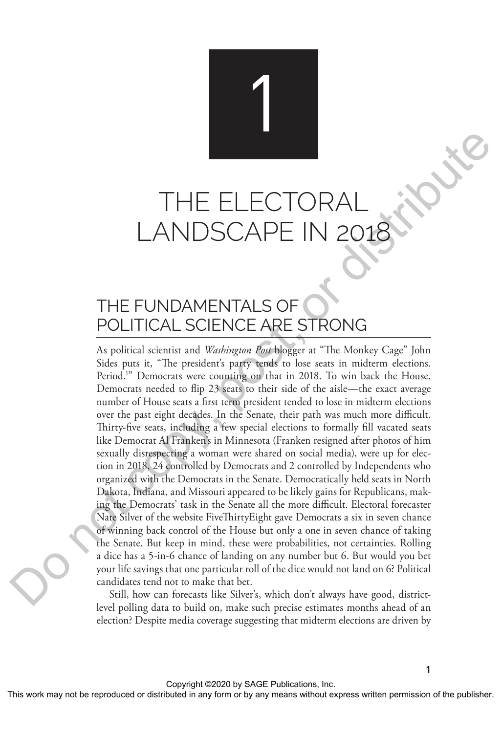1

# THE ELECTORA LANDSCAPE IN 2

## THE FUNDAMENTALS OF POLITICAL SCIENCE ARE STRONG

As political scientist and *Washington Post* blogger at "The Monkey Cage" John Sides puts it, "The president's party tends to lose seats in midterm elections. Period.<sup>1</sup>" Democrats were counting on that in 2018. To win back the House, Democrats needed to flip 23 seats to their side of the aisle—the exact average number of House seats a first term president tended to lose in midterm elections over the past eight decades. In the Senate, their path was much more difficult. Thirty-five seats, including a few special elections to formally fill vacated seats like Democrat Al Franken's in Minnesota (Franken resigned after photos of him sexually disrespecting a woman were shared on social media), were up for election in 2018, 24 controlled by Democrats and 2 controlled by Independents who organized with the Democrats in the Senate. Democratically held seats in North Dakota, Indiana, and Missouri appeared to be likely gains for Republicans, making the Democrats' task in the Senate all the more difficult. Electoral forecaster Nate Silver of the website FiveThirtyEight gave Democrats a six in seven chance of winning back control of the House but only a one in seven chance of taking the Senate. But keep in mind, these were probabilities, not certainties. Rolling a dice has a 5-in-6 chance of landing on any number but 6. But would you bet your life savings that one particular roll of the dice would not land on 6? Political candidates tend not to make that bet. THE ELECTORAL AND SCAPE IN 2018<br>
THE FUNDAMENTALS OF TRONG APE IN 2018, The produced in any form or by any political science and  $W_{\text{total}}$  and  $W_{\text{total}}$  and  $W_{\text{total}}$  and  $W_{\text{total}}$  and  $W_{\text{total}}$  and  $W_{\text{total}}$  and  $W_{\text{total}}$ 

Still, how can forecasts like Silver's, which don't always have good, districtlevel polling data to build on, make such precise estimates months ahead of an election? Despite media coverage suggesting that midterm elections are driven by

**1**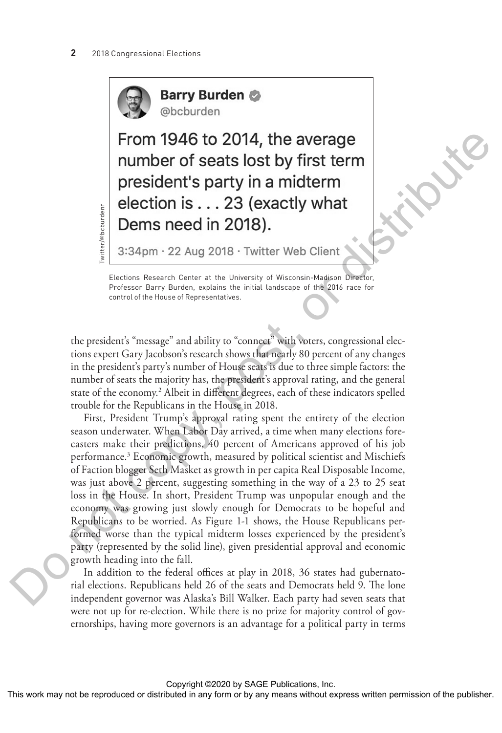

Twitter/@bcburdenr

**Barry Burden** @bcburden

Elections Research Center at the University of Wisconsin-Madison Director, Professor Barry Burden, explains the initial landscape of the 2016 race for control of the House of Representatives.

the president's "message" and ability to "connect" with voters, congressional elections expert Gary Jacobson's research shows that nearly 80 percent of any changes in the president's party's number of House seats is due to three simple factors: the number of seats the majority has, the president's approval rating, and the general state of the economy.<sup>2</sup> Albeit in different degrees, each of these indicators spelled trouble for the Republicans in the House in 2018.

First, President Trump's approval rating spent the entirety of the election season underwater. When Labor Day arrived, a time when many elections forecasters make their predictions, 40 percent of Americans approved of his job performance.3 Economic growth, measured by political scientist and Mischiefs of Faction blogger Seth Masket as growth in per capita Real Disposable Income, was just above 2 percent, suggesting something in the way of a 23 to 25 seat loss in the House. In short, President Trump was unpopular enough and the economy was growing just slowly enough for Democrats to be hopeful and Republicans to be worried. As Figure 1-1 shows, the House Republicans performed worse than the typical midterm losses experienced by the president's party (represented by the solid line), given presidential approval and economic growth heading into the fall. From 1946 to 2014, the average<br>
momber of reaction to reaction the publisher term<br>
election is ... 23 (exactly what<br>
Dems need in 2018).<br>  $\frac{1}{2}$  3:34pm - 22 Aug 2018 - Twitter Web Client<br>
notation is the publisher of t

In addition to the federal offices at play in 2018, 36 states had gubernatorial elections. Republicans held 26 of the seats and Democrats held 9. The lone independent governor was Alaska's Bill Walker. Each party had seven seats that were not up for re-election. While there is no prize for majority control of governorships, having more governors is an advantage for a political party in terms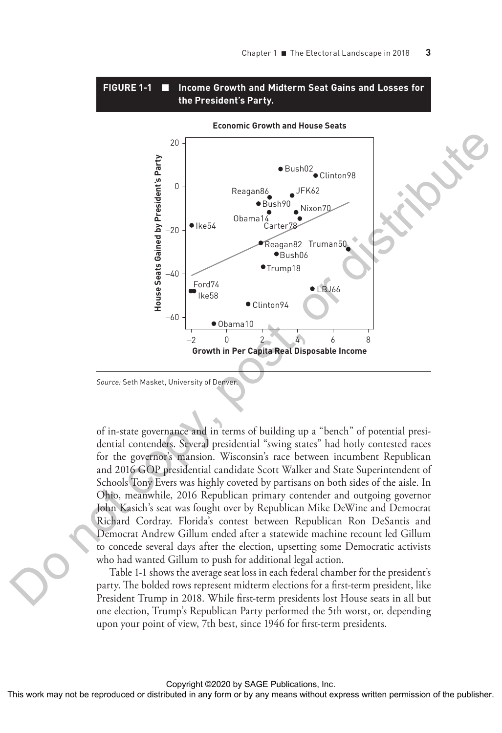#### **FIGURE 1-1** ■ **Income Growth and Midterm Seat Gains and Losses for the President's Party.**



*Source:* Seth Masket, University of Denver.

of in-state governance and in terms of building up a "bench" of potential presidential contenders. Several presidential "swing states" had hotly contested races for the governor's mansion. Wisconsin's race between incumbent Republican and 2016 GOP presidential candidate Scott Walker and State Superintendent of Schools Tony Evers was highly coveted by partisans on both sides of the aisle. In Ohio, meanwhile, 2016 Republican primary contender and outgoing governor John Kasich's seat was fought over by Republican Mike DeWine and Democrat Richard Cordray. Florida's contest between Republican Ron DeSantis and Democrat Andrew Gillum ended after a statewide machine recount led Gillum to concede several days after the election, upsetting some Democratic activists who had wanted Gillum to push for additional legal action.

Table 1-1 shows the average seat loss in each federal chamber for the president's party. The bolded rows represent midterm elections for a first-term president, like President Trump in 2018. While first-term presidents lost House seats in all but one election, Trump's Republican Party performed the 5th worst, or, depending upon your point of view, 7th best, since 1946 for first-term presidents.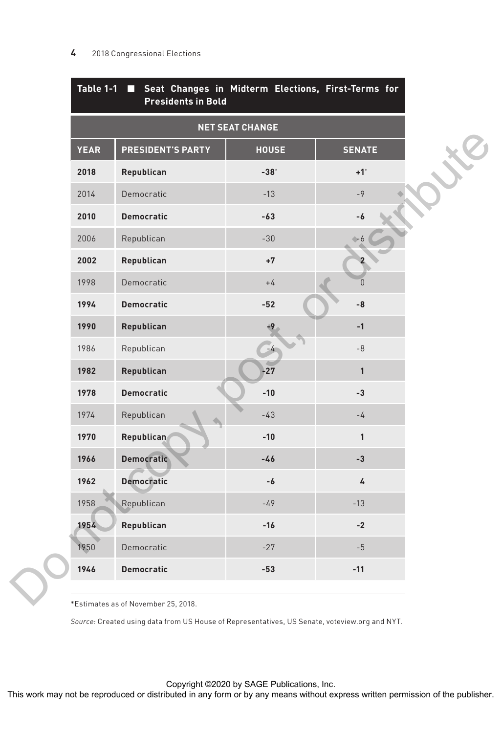| <b>NET SEAT CHANGE</b> |                                                                                                                                      |              |                   |
|------------------------|--------------------------------------------------------------------------------------------------------------------------------------|--------------|-------------------|
| <b>YEAR</b>            | <b>PRESIDENT'S PARTY</b>                                                                                                             | <b>HOUSE</b> | <b>SENATE</b>     |
| 2018                   | Republican                                                                                                                           | $-38°$       | $+1$ <sup>*</sup> |
| 2014                   | Democratic                                                                                                                           | $-13$        | $-9$              |
| 2010                   | <b>Democratic</b>                                                                                                                    | $-63$        | -6                |
| 2006                   | Republican                                                                                                                           | $-30$        |                   |
| 2002                   | Republican                                                                                                                           | $+7$         |                   |
| 1998                   | Democratic                                                                                                                           | $+4$         | $\overline{0}$    |
| 1994                   | <b>Democratic</b>                                                                                                                    | $-52$        | -8                |
| 1990                   | Republican                                                                                                                           | $+9$         | $-1$              |
| 1986                   | Republican                                                                                                                           | $-4$         | $\ensuremath{-8}$ |
| 1982                   | Republican                                                                                                                           | $-27$        | $\mathbf{1}$      |
| 1978                   | <b>Democratic</b>                                                                                                                    | $-10$        | $-3$              |
| 1974                   | Republican                                                                                                                           | $-43$        | $-4$              |
| 1970                   | <b>Republican</b>                                                                                                                    | $-10$        | $\mathbf{1}$      |
| 1966                   | Democratic                                                                                                                           | $-46$        | $-3$              |
| 1962                   | <b>Democratic</b>                                                                                                                    | -6           | 4                 |
| 1958                   | Republican                                                                                                                           | $-49$        | $-13$             |
| 1954                   | Republican                                                                                                                           | $-16$        | $-2$              |
| 1950                   | Democratic                                                                                                                           | $-27$        | $-5$              |
| 1946                   | <b>Democratic</b>                                                                                                                    | -53          | $-11$             |
|                        | *Estimates as of November 25, 2018.<br>Source: Created using data from US House of Representatives, US Senate, voteview.org and NYT. |              |                   |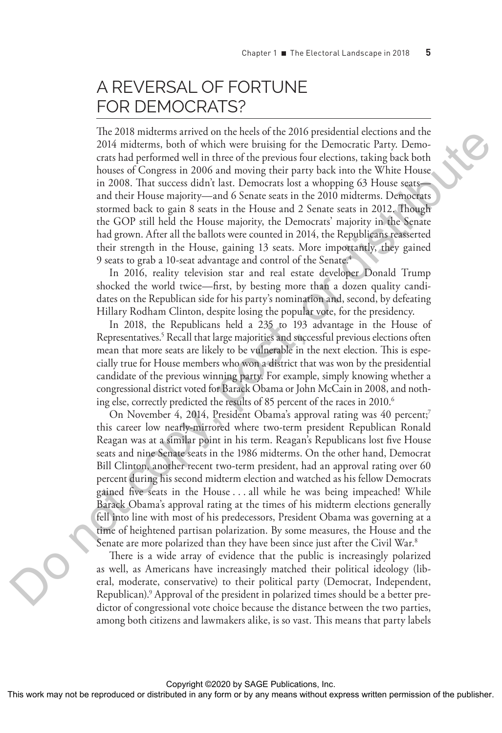### A REVERSAL OF FORTUNE FOR DEMOCRATS?

The 2018 midterms arrived on the heels of the 2016 presidential elections and the 2014 midterms, both of which were bruising for the Democratic Party. Democrats had performed well in three of the previous four elections, taking back both houses of Congress in 2006 and moving their party back into the White House in 2008. That success didn't last. Democrats lost a whopping 63 House seats and their House majority—and 6 Senate seats in the 2010 midterms. Democrats stormed back to gain 8 seats in the House and 2 Senate seats in 2012. Though the GOP still held the House majority, the Democrats' majority in the Senate had grown. After all the ballots were counted in 2014, the Republicans reasserted their strength in the House, gaining 13 seats. More importantly, they gained 9 seats to grab a 10-seat advantage and control of the Senate.4

In 2016, reality television star and real estate developer Donald Trump shocked the world twice—first, by besting more than a dozen quality candidates on the Republican side for his party's nomination and, second, by defeating Hillary Rodham Clinton, despite losing the popular vote, for the presidency.

In 2018, the Republicans held a 235 to 193 advantage in the House of Representatives.<sup>5</sup> Recall that large majorities and successful previous elections often mean that more seats are likely to be vulnerable in the next election. This is especially true for House members who won a district that was won by the presidential candidate of the previous winning party. For example, simply knowing whether a congressional district voted for Barack Obama or John McCain in 2008, and nothing else, correctly predicted the results of 85 percent of the races in 2010.<sup>6</sup>

On November 4, 2014, President Obama's approval rating was 40 percent;<sup>7</sup> this career low nearly-mirrored where two-term president Republican Ronald Reagan was at a similar point in his term. Reagan's Republicans lost five House seats and nine Senate seats in the 1986 midterms. On the other hand, Democrat Bill Clinton, another recent two-term president, had an approval rating over 60 percent during his second midterm election and watched as his fellow Democrats gained five seats in the House . . . all while he was being impeached! While Barack Obama's approval rating at the times of his midterm elections generally fell into line with most of his predecessors, President Obama was governing at a time of heightened partisan polarization. By some measures, the House and the Senate are more polarized than they have been since just after the Civil War.<sup>8</sup> The control or the rest of the rest may not be reproduced or distributed in any form or between the reproduced in any form or between the rest in any form or between the rest in any form or the publisher. The control of t

There is a wide array of evidence that the public is increasingly polarized as well, as Americans have increasingly matched their political ideology (liberal, moderate, conservative) to their political party (Democrat, Independent, Republican).9 Approval of the president in polarized times should be a better predictor of congressional vote choice because the distance between the two parties, among both citizens and lawmakers alike, is so vast. This means that party labels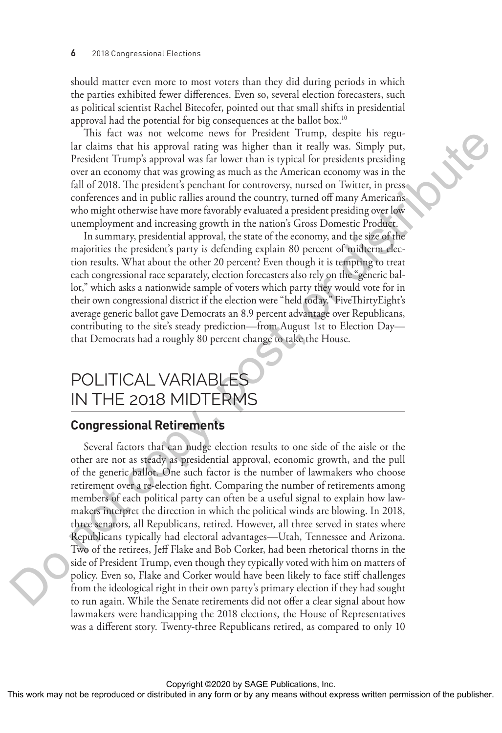should matter even more to most voters than they did during periods in which the parties exhibited fewer differences. Even so, several election forecasters, such as political scientist Rachel Bitecofer, pointed out that small shifts in presidential approval had the potential for big consequences at the ballot box.10

This fact was not welcome news for President Trump, despite his regular claims that his approval rating was higher than it really was. Simply put, President Trump's approval was far lower than is typical for presidents presiding over an economy that was growing as much as the American economy was in the fall of 2018. The president's penchant for controversy, nursed on Twitter, in press conferences and in public rallies around the country, turned off many Americans who might otherwise have more favorably evaluated a president presiding over low unemployment and increasing growth in the nation's Gross Domestic Product.

In summary, presidential approval, the state of the economy, and the size of the majorities the president's party is defending explain 80 percent of midterm election results. What about the other 20 percent? Even though it is tempting to treat each congressional race separately, election forecasters also rely on the "generic ballot," which asks a nationwide sample of voters which party they would vote for in their own congressional district if the election were "held today." FiveThirtyEight's average generic ballot gave Democrats an 8.9 percent advantage over Republicans, contributing to the site's steady prediction—from August 1st to Election Day that Democrats had a roughly 80 percent change to take the House.

### POLITICAL VARIABLES IN THE 2018 MIDTERMS

#### **Congressional Retirements**

Several factors that can nudge election results to one side of the aisle or the other are not as steady as presidential approval, economic growth, and the pull of the generic ballot. One such factor is the number of lawmakers who choose retirement over a re-election fight. Comparing the number of retirements among members of each political party can often be a useful signal to explain how lawmakers interpret the direction in which the political winds are blowing. In 2018, three senators, all Republicans, retired. However, all three served in states where Republicans typically had electoral advantages—Utah, Tennessee and Arizona. Two of the retirees, Jeff Flake and Bob Corker, had been rhetorical thorns in the side of President Trump, even though they typically voted with him on matters of policy. Even so, Flake and Corker would have been likely to face stiff challenges from the ideological right in their own party's primary election if they had sought to run again. While the Senate retirements did not offer a clear signal about how lawmakers were handicapping the 2018 elections, the House of Representatives was a different story. Twenty-three Republicans retired, as compared to only 10 This fact was not work may not be represented to the reproduced or distributed in any form or between the representation or between the publisher and the publisher and the publisher and the publisher. The results with mea

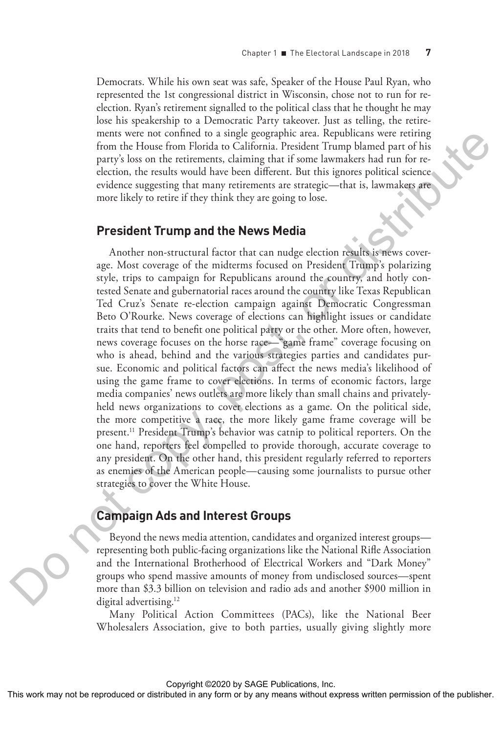Democrats. While his own seat was safe, Speaker of the House Paul Ryan, who represented the 1st congressional district in Wisconsin, chose not to run for reelection. Ryan's retirement signalled to the political class that he thought he may lose his speakership to a Democratic Party takeover. Just as telling, the retirements were not confined to a single geographic area. Republicans were retiring from the House from Florida to California. President Trump blamed part of his party's loss on the retirements, claiming that if some lawmakers had run for reelection, the results would have been different. But this ignores political science evidence suggesting that many retirements are strategic—that is, lawmakers are more likely to retire if they think they are going to lose.

#### **President Trump and the News Media**

Another non-structural factor that can nudge election results is news coverage. Most coverage of the midterms focused on President Trump's polarizing style, trips to campaign for Republicans around the country, and hotly contested Senate and gubernatorial races around the country like Texas Republican Ted Cruz's Senate re-election campaign against Democratic Congressman Beto O'Rourke. News coverage of elections can highlight issues or candidate traits that tend to benefit one political party or the other. More often, however, news coverage focuses on the horse race—"game frame" coverage focusing on who is ahead, behind and the various strategies parties and candidates pursue. Economic and political factors can affect the news media's likelihood of using the game frame to cover elections. In terms of economic factors, large media companies' news outlets are more likely than small chains and privatelyheld news organizations to cover elections as a game. On the political side, the more competitive a race, the more likely game frame coverage will be present.<sup>11</sup> President Trump's behavior was catnip to political reporters. On the one hand, reporters feel compelled to provide thorough, accurate coverage to any president. On the other hand, this president regularly referred to reporters as enemies of the American people—causing some journalists to pursue other strategies to cover the White House. The results were considered to the represented or distributed in any mean be reproduced in the reproduced in any means were provided in any means were permission of the publisher. As the result of the publisher of the pub

#### **Campaign Ads and Interest Groups**

Beyond the news media attention, candidates and organized interest groups representing both public-facing organizations like the National Rifle Association and the International Brotherhood of Electrical Workers and "Dark Money" groups who spend massive amounts of money from undisclosed sources—spent more than \$3.3 billion on television and radio ads and another \$900 million in digital advertising.<sup>12</sup>

Many Political Action Committees (PACs), like the National Beer Wholesalers Association, give to both parties, usually giving slightly more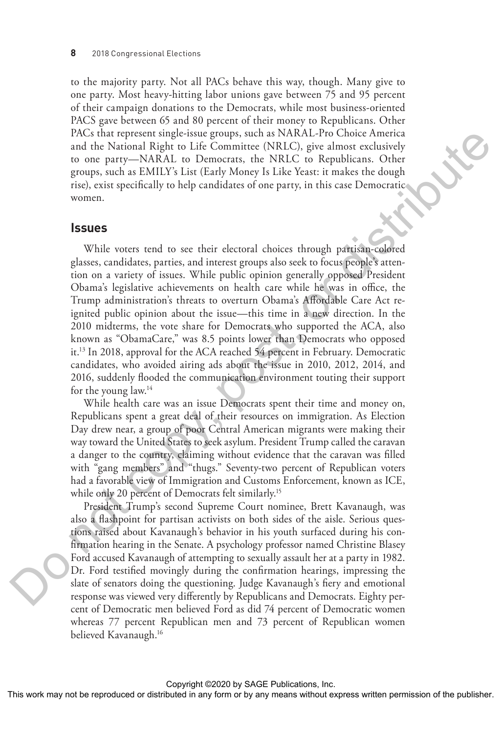to the majority party. Not all PACs behave this way, though. Many give to one party. Most heavy-hitting labor unions gave between 75 and 95 percent of their campaign donations to the Democrats, while most business-oriented PACS gave between 65 and 80 percent of their money to Republicans. Other PACs that represent single-issue groups, such as NARAL-Pro Choice America and the National Right to Life Committee (NRLC), give almost exclusively to one party—NARAL to Democrats, the NRLC to Republicans. Other groups, such as EMILY's List (Early Money Is Like Yeast: it makes the dough rise), exist specifically to help candidates of one party, in this case Democratic women.

#### **Issues**

While voters tend to see their electoral choices through partisan-colored glasses, candidates, parties, and interest groups also seek to focus people's attention on a variety of issues. While public opinion generally opposed President Obama's legislative achievements on health care while he was in office, the Trump administration's threats to overturn Obama's Affordable Care Act reignited public opinion about the issue—this time in a new direction. In the 2010 midterms, the vote share for Democrats who supported the ACA, also known as "ObamaCare," was 8.5 points lower than Democrats who opposed it.13 In 2018, approval for the ACA reached 54 percent in February. Democratic candidates, who avoided airing ads about the issue in 2010, 2012, 2014, and 2016, suddenly flooded the communication environment touting their support for the young law.14 This work may not be reproduced or distributed or distributed or distributed or distributed or distributed in the publisher of the publisher. One can serve what we can be a state of the publisher. One any form or by any m

While health care was an issue Democrats spent their time and money on, Republicans spent a great deal of their resources on immigration. As Election Day drew near, a group of poor Central American migrants were making their way toward the United States to seek asylum. President Trump called the caravan a danger to the country, claiming without evidence that the caravan was filled with "gang members" and "thugs." Seventy-two percent of Republican voters had a favorable view of Immigration and Customs Enforcement, known as ICE, while only 20 percent of Democrats felt similarly.<sup>15</sup>

President Trump's second Supreme Court nominee, Brett Kavanaugh, was also a flashpoint for partisan activists on both sides of the aisle. Serious questions raised about Kavanaugh's behavior in his youth surfaced during his confirmation hearing in the Senate. A psychology professor named Christine Blasey Ford accused Kavanaugh of attempting to sexually assault her at a party in 1982. Dr. Ford testified movingly during the confirmation hearings, impressing the slate of senators doing the questioning. Judge Kavanaugh's fiery and emotional response was viewed very differently by Republicans and Democrats. Eighty percent of Democratic men believed Ford as did 74 percent of Democratic women whereas 77 percent Republican men and 73 percent of Republican women believed Kavanaugh.16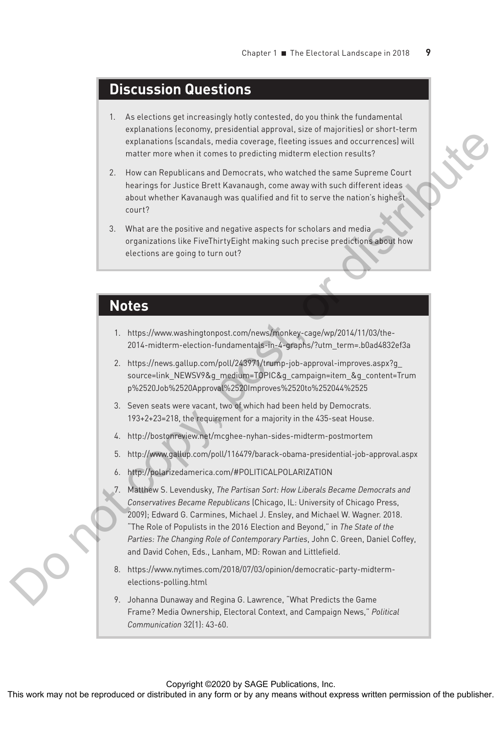### **Discussion Questions**

- 1. As elections get increasingly hotly contested, do you think the fundamental explanations (economy, presidential approval, size of majorities) or short-term explanations (scandals, media coverage, fleeting issues and occurrences) will matter more when it comes to predicting midterm election results?
- 2. How can Republicans and Democrats, who watched the same Supreme Court hearings for Justice Brett Kavanaugh, come away with such different ideas about whether Kavanaugh was qualified and fit to serve the nation's highest court?
- 3. What are the positive and negative aspects for scholars and media organizations like FiveThirtyEight making such precise predictions about how elections are going to turn out?

#### **Notes**

- 1. https://www.washingtonpost.com/news/monkey-cage/wp/2014/11/03/the-2014-midterm-election-fundamentals-in-4-graphs/?utm\_term=.b0ad4832ef3a
- 2. https://news.gallup.com/poll/243971/trump-job-approval-improves.aspx?g\_ source=link\_NEWSV9&g\_medium=TOPIC&g\_campaign=item\_&g\_content=Trum p%2520Job%2520Approval%2520Improves%2520to%252044%2525
- 3. Seven seats were vacant, two of which had been held by Democrats. 193+2+23=218, the requirement for a majority in the 435-seat House.
- 4. http://bostonreview.net/mcghee-nyhan-sides-midterm-postmortem
- 5. http://www.gallup.com/poll/116479/barack-obama-presidential-job-approval.aspx
- 6. http://polarizedamerica.com/#POLITICALPOLARIZATION
- 7. Matthew S. Levendusky, *The Partisan Sort: How Liberals Became Democrats and Conservatives Became Republicans* (Chicago, IL: University of Chicago Press, 2009); Edward G. Carmines, Michael J. Ensley, and Michael W. Wagner. 2018. "The Role of Populists in the 2016 Election and Beyond," in *The State of the Parties: The Changing Role of Contemporary Parties*, John C. Green, Daniel Coffey, and David Cohen, Eds., Lanham, MD: Rowan and Littlefield. This may not be reproduced in any form or distributed in any form or by any means with a stributed in any form or between the publisher. This was no the publisher and the publisher and the publisher and the publisher an
	- 8. https://www.nytimes.com/2018/07/03/opinion/democratic-party-midtermelections-polling.html
	- 9. Johanna Dunaway and Regina G. Lawrence, "What Predicts the Game Frame? Media Ownership, Electoral Context, and Campaign News," *Political Communication* 32(1): 43-60.